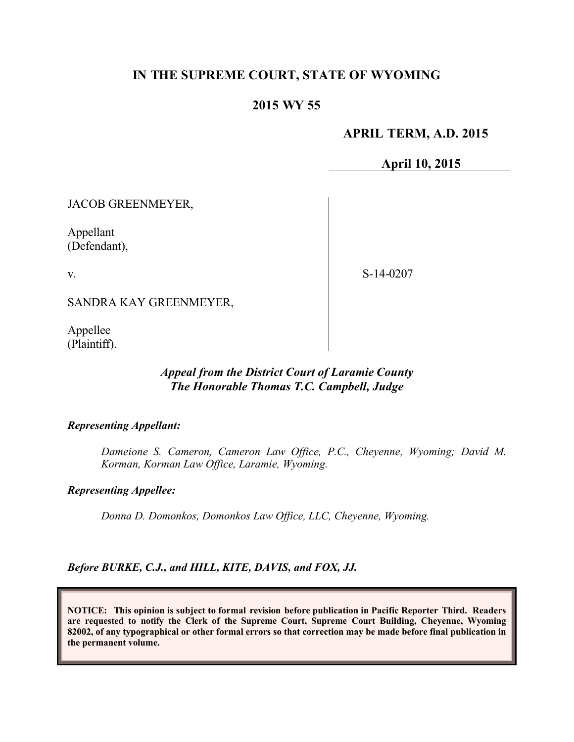# **IN THE SUPREME COURT, STATE OF WYOMING**

## **2015 WY 55**

### **APRIL TERM, A.D. 2015**

**April 10, 2015**

JACOB GREENMEYER,

Appellant (Defendant),

v.

S-14-0207

SANDRA KAY GREENMEYER,

Appellee (Plaintiff).

### *Appeal from the District Court of Laramie County The Honorable Thomas T.C. Campbell, Judge*

*Representing Appellant:*

*Dameione S. Cameron, Cameron Law Office, P.C., Cheyenne, Wyoming; David M. Korman, Korman Law Office, Laramie, Wyoming.*

*Representing Appellee:*

*Donna D. Domonkos, Domonkos Law Office, LLC, Cheyenne, Wyoming.*

*Before BURKE, C.J., and HILL, KITE, DAVIS, and FOX, JJ.*

**NOTICE: This opinion is subject to formal revision before publication in Pacific Reporter Third. Readers are requested to notify the Clerk of the Supreme Court, Supreme Court Building, Cheyenne, Wyoming 82002, of any typographical or other formal errors so that correction may be made before final publication in the permanent volume.**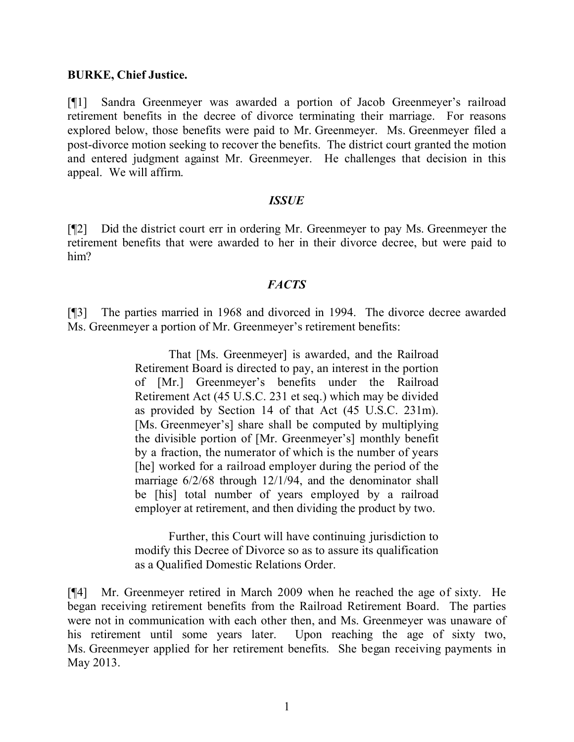### **BURKE, Chief Justice.**

[¶1] Sandra Greenmeyer was awarded a portion of Jacob Greenmeyer's railroad retirement benefits in the decree of divorce terminating their marriage. For reasons explored below, those benefits were paid to Mr. Greenmeyer. Ms. Greenmeyer filed a post-divorce motion seeking to recover the benefits. The district court granted the motion and entered judgment against Mr. Greenmeyer. He challenges that decision in this appeal. We will affirm.

#### *ISSUE*

[¶2] Did the district court err in ordering Mr. Greenmeyer to pay Ms. Greenmeyer the retirement benefits that were awarded to her in their divorce decree, but were paid to him?

## *FACTS*

[¶3] The parties married in 1968 and divorced in 1994. The divorce decree awarded Ms. Greenmeyer a portion of Mr. Greenmeyer's retirement benefits:

> That [Ms. Greenmeyer] is awarded, and the Railroad Retirement Board is directed to pay, an interest in the portion of [Mr.] Greenmeyer's benefits under the Railroad Retirement Act (45 U.S.C. 231 et seq.) which may be divided as provided by Section 14 of that Act (45 U.S.C. 231m). [Ms. Greenmeyer's] share shall be computed by multiplying the divisible portion of [Mr. Greenmeyer's] monthly benefit by a fraction, the numerator of which is the number of years [he] worked for a railroad employer during the period of the marriage 6/2/68 through 12/1/94, and the denominator shall be [his] total number of years employed by a railroad employer at retirement, and then dividing the product by two.

> Further, this Court will have continuing jurisdiction to modify this Decree of Divorce so as to assure its qualification as a Qualified Domestic Relations Order.

[¶4] Mr. Greenmeyer retired in March 2009 when he reached the age of sixty. He began receiving retirement benefits from the Railroad Retirement Board. The parties were not in communication with each other then, and Ms. Greenmeyer was unaware of his retirement until some years later. Upon reaching the age of sixty two, Ms. Greenmeyer applied for her retirement benefits. She began receiving payments in May 2013.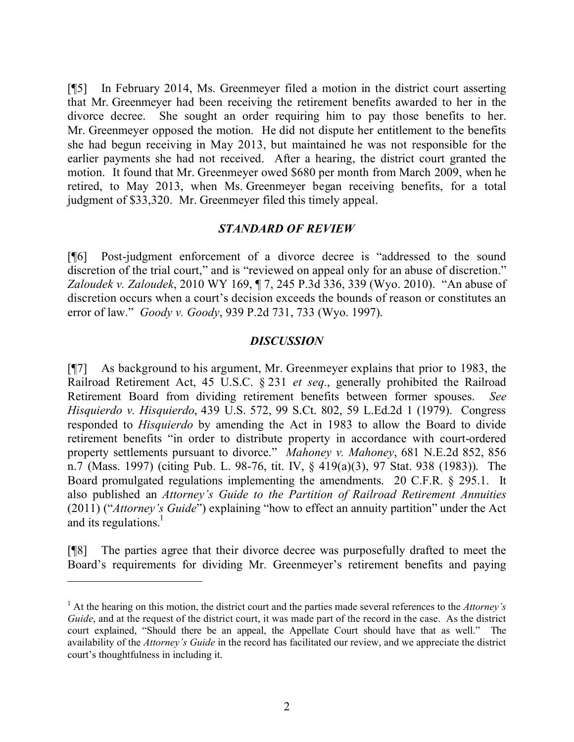[¶5] In February 2014, Ms. Greenmeyer filed a motion in the district court asserting that Mr. Greenmeyer had been receiving the retirement benefits awarded to her in the divorce decree. She sought an order requiring him to pay those benefits to her. Mr. Greenmeyer opposed the motion. He did not dispute her entitlement to the benefits she had begun receiving in May 2013, but maintained he was not responsible for the earlier payments she had not received. After a hearing, the district court granted the motion. It found that Mr. Greenmeyer owed \$680 per month from March 2009, when he retired, to May 2013, when Ms. Greenmeyer began receiving benefits, for a total judgment of \$33,320. Mr. Greenmeyer filed this timely appeal.

### *STANDARD OF REVIEW*

[¶6] Post-judgment enforcement of a divorce decree is "addressed to the sound discretion of the trial court," and is "reviewed on appeal only for an abuse of discretion." *Zaloudek v. Zaloudek*, 2010 WY 169, ¶ 7, 245 P.3d 336, 339 (Wyo. 2010). "An abuse of discretion occurs when a court's decision exceeds the bounds of reason or constitutes an error of law." *Goody v. Goody*, 939 P.2d 731, 733 (Wyo. 1997).

#### *DISCUSSION*

[¶7] As background to his argument, Mr. Greenmeyer explains that prior to 1983, the Railroad Retirement Act, 45 U.S.C. § 231 *et seq.*, generally prohibited the Railroad Retirement Board from dividing retirement benefits between former spouses. *See Hisquierdo v. Hisquierdo*, 439 U.S. 572, 99 S.Ct. 802, 59 L.Ed.2d 1 (1979). Congress responded to *Hisquierdo* by amending the Act in 1983 to allow the Board to divide retirement benefits "in order to distribute property in accordance with court-ordered property settlements pursuant to divorce." *Mahoney v. Mahoney*, 681 N.E.2d 852, 856 n.7 (Mass. 1997) (citing Pub. L. 98-76, tit. IV, § 419(a)(3), 97 Stat. 938 (1983)). The Board promulgated regulations implementing the amendments. 20 C.F.R. § 295.1. It also published an *Attorney's Guide to the Partition of Railroad Retirement Annuities* (2011) ("*Attorney's Guide*") explaining "how to effect an annuity partition" under the Act and its regulations.<sup>1</sup>

[¶8] The parties agree that their divorce decree was purposefully drafted to meet the Board's requirements for dividing Mr. Greenmeyer's retirement benefits and paying

<sup>1</sup> At the hearing on this motion, the district court and the parties made several references to the *Attorney's Guide*, and at the request of the district court, it was made part of the record in the case. As the district court explained, "Should there be an appeal, the Appellate Court should have that as well." The availability of the *Attorney's Guide* in the record has facilitated our review, and we appreciate the district court's thoughtfulness in including it.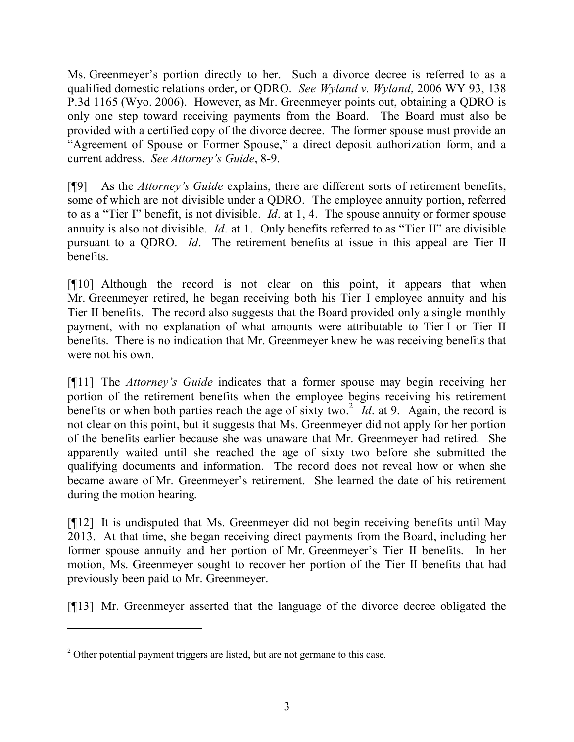Ms. Greenmeyer's portion directly to her. Such a divorce decree is referred to as a qualified domestic relations order, or QDRO. *See Wyland v. Wyland*, 2006 WY 93, 138 P.3d 1165 (Wyo. 2006). However, as Mr. Greenmeyer points out, obtaining a QDRO is only one step toward receiving payments from the Board. The Board must also be provided with a certified copy of the divorce decree. The former spouse must provide an "Agreement of Spouse or Former Spouse," a direct deposit authorization form, and a current address. *See Attorney's Guide*, 8-9.

[¶9] As the *Attorney's Guide* explains, there are different sorts of retirement benefits, some of which are not divisible under a QDRO. The employee annuity portion, referred to as a "Tier I" benefit, is not divisible. *Id*. at 1, 4. The spouse annuity or former spouse annuity is also not divisible. *Id*. at 1. Only benefits referred to as "Tier II" are divisible pursuant to a QDRO. *Id*. The retirement benefits at issue in this appeal are Tier II benefits.

[¶10] Although the record is not clear on this point, it appears that when Mr. Greenmeyer retired, he began receiving both his Tier I employee annuity and his Tier II benefits. The record also suggests that the Board provided only a single monthly payment, with no explanation of what amounts were attributable to Tier I or Tier II benefits. There is no indication that Mr. Greenmeyer knew he was receiving benefits that were not his own.

[¶11] The *Attorney's Guide* indicates that a former spouse may begin receiving her portion of the retirement benefits when the employee begins receiving his retirement benefits or when both parties reach the age of sixty two.<sup>2</sup> Id. at 9. Again, the record is not clear on this point, but it suggests that Ms. Greenmeyer did not apply for her portion of the benefits earlier because she was unaware that Mr. Greenmeyer had retired. She apparently waited until she reached the age of sixty two before she submitted the qualifying documents and information. The record does not reveal how or when she became aware of Mr. Greenmeyer's retirement. She learned the date of his retirement during the motion hearing.

[¶12] It is undisputed that Ms. Greenmeyer did not begin receiving benefits until May 2013. At that time, she began receiving direct payments from the Board, including her former spouse annuity and her portion of Mr. Greenmeyer's Tier II benefits. In her motion, Ms. Greenmeyer sought to recover her portion of the Tier II benefits that had previously been paid to Mr. Greenmeyer.

[¶13] Mr. Greenmeyer asserted that the language of the divorce decree obligated the

 $\overline{a}$ 

<sup>&</sup>lt;sup>2</sup> Other potential payment triggers are listed, but are not germane to this case.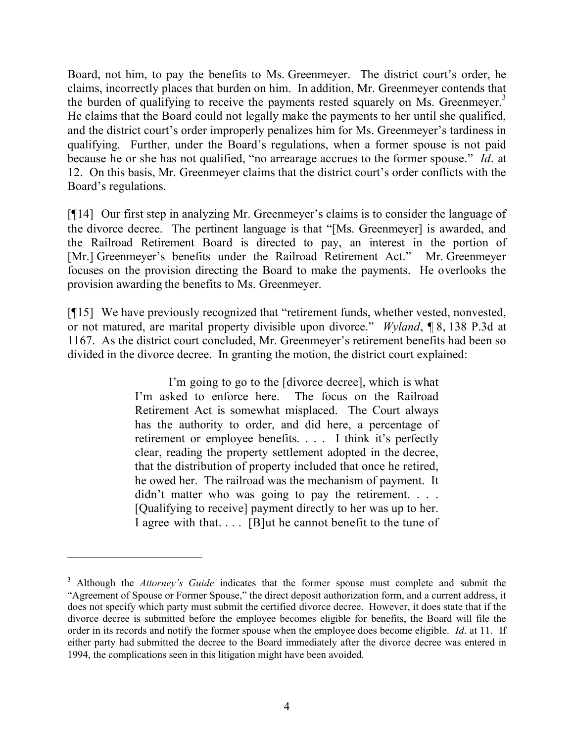Board, not him, to pay the benefits to Ms. Greenmeyer. The district court's order, he claims, incorrectly places that burden on him. In addition, Mr. Greenmeyer contends that the burden of qualifying to receive the payments rested squarely on Ms. Greenmeyer.<sup>3</sup> He claims that the Board could not legally make the payments to her until she qualified, and the district court's order improperly penalizes him for Ms. Greenmeyer's tardiness in qualifying. Further, under the Board's regulations, when a former spouse is not paid because he or she has not qualified, "no arrearage accrues to the former spouse." *Id*. at 12. On this basis, Mr. Greenmeyer claims that the district court's order conflicts with the Board's regulations.

[¶14] Our first step in analyzing Mr. Greenmeyer's claims is to consider the language of the divorce decree. The pertinent language is that "[Ms. Greenmeyer] is awarded, and the Railroad Retirement Board is directed to pay, an interest in the portion of [Mr.] Greenmeyer's benefits under the Railroad Retirement Act." Mr. Greenmeyer focuses on the provision directing the Board to make the payments. He overlooks the provision awarding the benefits to Ms. Greenmeyer.

[¶15] We have previously recognized that "retirement funds, whether vested, nonvested, or not matured, are marital property divisible upon divorce." *Wyland*, ¶ 8, 138 P.3d at 1167. As the district court concluded, Mr. Greenmeyer's retirement benefits had been so divided in the divorce decree. In granting the motion, the district court explained:

> I'm going to go to the [divorce decree], which is what I'm asked to enforce here. The focus on the Railroad Retirement Act is somewhat misplaced. The Court always has the authority to order, and did here, a percentage of retirement or employee benefits. . . . I think it's perfectly clear, reading the property settlement adopted in the decree, that the distribution of property included that once he retired, he owed her. The railroad was the mechanism of payment. It didn't matter who was going to pay the retirement. . . . [Qualifying to receive] payment directly to her was up to her. I agree with that. . . . [B]ut he cannot benefit to the tune of

 $\overline{a}$ 

<sup>&</sup>lt;sup>3</sup> Although the *Attorney's Guide* indicates that the former spouse must complete and submit the "Agreement of Spouse or Former Spouse," the direct deposit authorization form, and a current address, it does not specify which party must submit the certified divorce decree. However, it does state that if the divorce decree is submitted before the employee becomes eligible for benefits, the Board will file the order in its records and notify the former spouse when the employee does become eligible. *Id*. at 11. If either party had submitted the decree to the Board immediately after the divorce decree was entered in 1994, the complications seen in this litigation might have been avoided.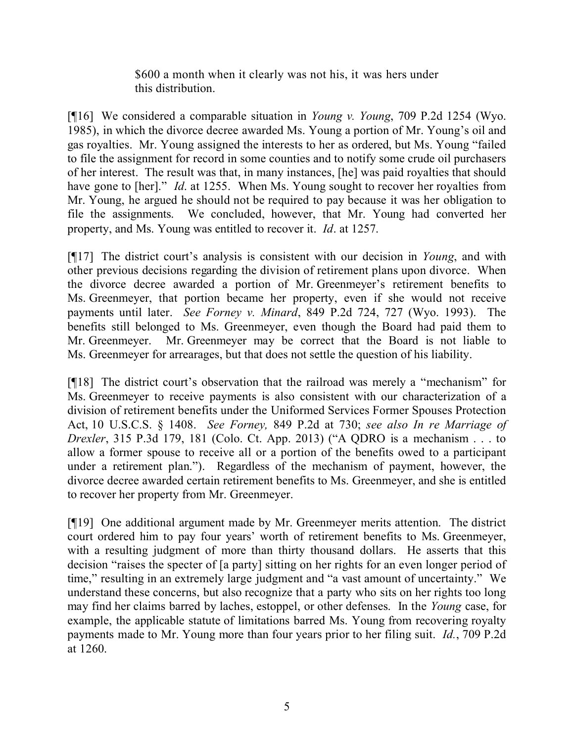\$600 a month when it clearly was not his, it was hers under this distribution.

[¶16] We considered a comparable situation in *Young v. Young*, 709 P.2d 1254 (Wyo. 1985), in which the divorce decree awarded Ms. Young a portion of Mr. Young's oil and gas royalties. Mr. Young assigned the interests to her as ordered, but Ms. Young "failed to file the assignment for record in some counties and to notify some crude oil purchasers of her interest. The result was that, in many instances, [he] was paid royalties that should have gone to [her]." *Id.* at 1255. When Ms. Young sought to recover her royalties from Mr. Young, he argued he should not be required to pay because it was her obligation to file the assignments. We concluded, however, that Mr. Young had converted her property, and Ms. Young was entitled to recover it. *Id*. at 1257.

[¶17] The district court's analysis is consistent with our decision in *Young*, and with other previous decisions regarding the division of retirement plans upon divorce. When the divorce decree awarded a portion of Mr. Greenmeyer's retirement benefits to Ms. Greenmeyer, that portion became her property, even if she would not receive payments until later. *See Forney v. Minard*, 849 P.2d 724, 727 (Wyo. 1993). The benefits still belonged to Ms. Greenmeyer, even though the Board had paid them to Mr. Greenmeyer. Mr. Greenmeyer may be correct that the Board is not liable to Ms. Greenmeyer for arrearages, but that does not settle the question of his liability.

[¶18] The district court's observation that the railroad was merely a "mechanism" for Ms. Greenmeyer to receive payments is also consistent with our characterization of a division of retirement benefits under the Uniformed Services Former Spouses Protection Act, 10 U.S.C.S. § 1408. *See Forney,* 849 P.2d at 730; *see also In re Marriage of Drexler*, 315 P.3d 179, 181 (Colo. Ct. App. 2013) ("A QDRO is a mechanism . . . to allow a former spouse to receive all or a portion of the benefits owed to a participant under a retirement plan."). Regardless of the mechanism of payment, however, the divorce decree awarded certain retirement benefits to Ms. Greenmeyer, and she is entitled to recover her property from Mr. Greenmeyer.

[¶19] One additional argument made by Mr. Greenmeyer merits attention. The district court ordered him to pay four years' worth of retirement benefits to Ms. Greenmeyer, with a resulting judgment of more than thirty thousand dollars. He asserts that this decision "raises the specter of [a party] sitting on her rights for an even longer period of time," resulting in an extremely large judgment and "a vast amount of uncertainty." We understand these concerns, but also recognize that a party who sits on her rights too long may find her claims barred by laches, estoppel, or other defenses. In the *Young* case, for example, the applicable statute of limitations barred Ms. Young from recovering royalty payments made to Mr. Young more than four years prior to her filing suit. *Id.*, 709 P.2d at 1260.